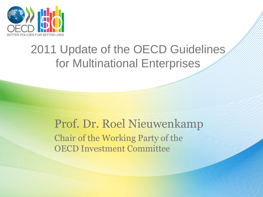

# 2011 Update of the OECD Guidelines for Multinational Enterprises

## Prof. Dr. Roel Nieuwenkamp Chair of the Working Party of the OECD Investment Committee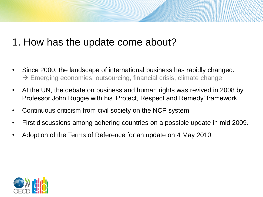#### 1. How has the update come about?

- Since 2000, the landscape of international business has rapidly changed.  $\rightarrow$  Emerging economies, outsourcing, financial crisis, climate change
- At the UN, the debate on business and human rights was revived in 2008 by Professor John Ruggie with his 'Protect, Respect and Remedy' framework.
- Continuous criticism from civil society on the NCP system
- First discussions among adhering countries on a possible update in mid 2009.
- Adoption of the Terms of Reference for an update on 4 May 2010

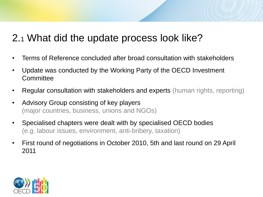#### 2.<sup>1</sup> What did the update process look like?

- Terms of Reference concluded after broad consultation with stakeholders
- Update was conducted by the Working Party of the OECD Investment **Committee**
- Regular consultation with stakeholders and experts (human rights, reporting)
- Advisory Group consisting of key players (major countries, business, unions and NGOs)
- Specialised chapters were dealt with by specialised OECD bodies (e.g. labour issues, environment, anti-bribery, taxation)
- First round of negotiations in October 2010, 5th and last round on 29 April 2011

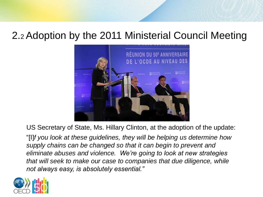#### 2.2 Adoption by the 2011 Ministerial Council Meeting



US Secretary of State, Ms. Hillary Clinton, at the adoption of the update:

"[I]*f you look at these guidelines, they will be helping us determine how supply chains can be changed so that it can begin to prevent and eliminate abuses and violence. We're going to look at new strategies that will seek to make our case to companies that due diligence, while not always easy, is absolutely essential."*

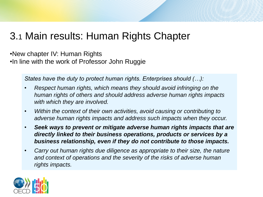### 3.1 Main results: Human Rights Chapter

•New chapter IV: Human Rights •In line with the work of Professor John Ruggie

*States have the duty to protect human rights. Enterprises should (…):*

- *Respect human rights, which means they should avoid infringing on the human rights of others and should address adverse human rights impacts with which they are involved.*
- *Within the context of their own activities, avoid causing or contributing to adverse human rights impacts and address such impacts when they occur.*
- *Seek ways to prevent or mitigate adverse human rights impacts that are directly linked to their business operations, products or services by a business relationship, even if they do not contribute to those impacts.*
- *Carry out human rights due diligence as appropriate to their size, the nature and context of operations and the severity of the risks of adverse human rights impacts.*

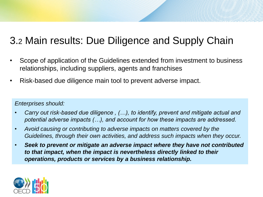### 3.2 Main results: Due Diligence and Supply Chain

- Scope of application of the Guidelines extended from investment to business relationships, including suppliers, agents and franchises
- Risk-based due diligence main tool to prevent adverse impact.

#### *Enterprises should:*

- *Carry out risk-based due diligence , (…), to identify, prevent and mitigate actual and potential adverse impacts (…), and account for how these impacts are addressed.*
- *Avoid causing or contributing to adverse impacts on matters covered by the Guidelines, through their own activities, and address such impacts when they occur.*
- *Seek to prevent or mitigate an adverse impact where they have not contributed to that impact, when the impact is nevertheless directly linked to their operations, products or services by a business relationship.*

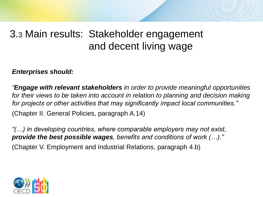### 3.3 Main results: Stakeholder engagement and decent living wage

#### *Enterprises should:*

*"Engage with relevant stakeholders in order to provide meaningful opportunities*  for their views to be taken into account in relation to planning and decision making *for projects or other activities that may significantly impact local communities."* (Chapter II. General Policies, paragraph A.14)

*"(…) in developing countries, where comparable employers may not exist, provide the best possible wages, benefits and conditions of work (…)."* (Chapter V. Employment and Industrial Relations, paragraph 4.b)

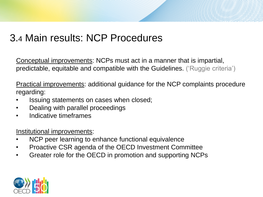### 3.4 Main results: NCP Procedures

Conceptual improvements: NCPs must act in a manner that is impartial, predictable, equitable and compatible with the Guidelines. ('Ruggie criteria')

Practical improvements: additional guidance for the NCP complaints procedure regarding:

- Issuing statements on cases when closed;
- Dealing with parallel proceedings
- Indicative timeframes

Institutional improvements:

- NCP peer learning to enhance functional equivalence
- Proactive CSR agenda of the OECD Investment Committee
- Greater role for the OECD in promotion and supporting NCPs

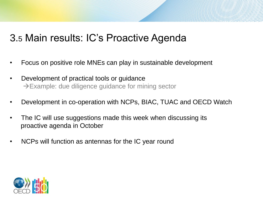#### 3.5 Main results: IC's Proactive Agenda

- Focus on positive role MNEs can play in sustainable development
- Development of practical tools or guidance  $\rightarrow$  Example: due diligence guidance for mining sector
- Development in co-operation with NCPs, BIAC, TUAC and OECD Watch
- The IC will use suggestions made this week when discussing its proactive agenda in October
- NCPs will function as antennas for the IC year round